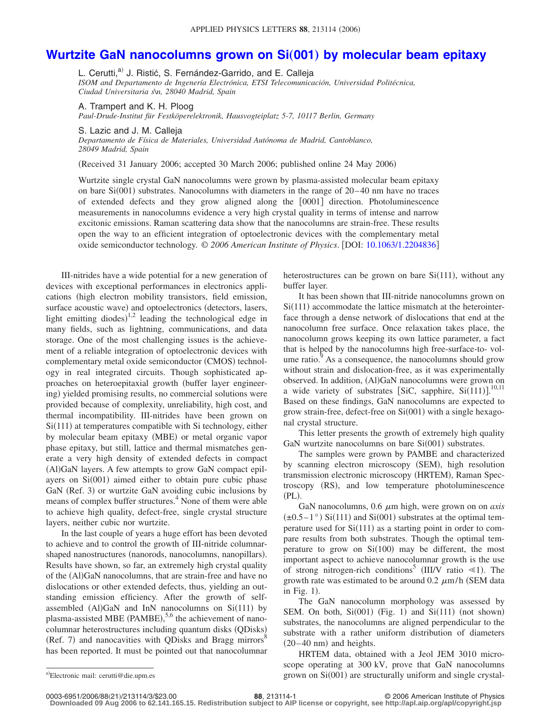## **[Wurtzite GaN nanocolumns grown on Si](http://dx.doi.org/10.1063/1.2204836)(001) by molecular beam epitaxy**

L. Cerutti,<sup>a)</sup> J. Ristić, S. Fernández-Garrido, and E. Calleja

*ISOM and Departamento de Ingenería Electrónica, ETSI Telecomunicación, Universidad Politécnica, Ciudad Universitaria s\n, 28040 Madrid, Spain*

A. Trampert and K. H. Ploog

*Paul-Drude-Institut für Festköperelektronik, Hausvogteiplatz 5-7, 10117 Berlin, Germany*

S. Lazic and J. M. Calleja

*Departamento de Física de Materiales, Universidad Autónoma de Madrid, Cantoblanco, 28049 Madrid, Spain*

(Received 31 January 2006; accepted 30 March 2006; published online 24 May 2006)

Wurtzite single crystal GaN nanocolumns were grown by plasma-assisted molecular beam epitaxy on bare Si(001) substrates. Nanocolumns with diameters in the range of 20–40 nm have no traces of extended defects and they grow aligned along the [0001] direction. Photoluminescence measurements in nanocolumns evidence a very high crystal quality in terms of intense and narrow excitonic emissions. Raman scattering data show that the nanocolumns are strain-free. These results open the way to an efficient integration of optoelectronic devices with the complementary metal oxide semiconductor technology. © *2006 American Institute of Physics*. DOI: [10.1063/1.2204836](http://dx.doi.org/10.1063/1.2204836)

III-nitrides have a wide potential for a new generation of devices with exceptional performances in electronics applications (high electron mobility transistors, field emission, surface acoustic wave) and optoelectronics (detectors, lasers, light emitting diodes)<sup>1,2</sup> leading the technological edge in many fields, such as lightning, communications, and data storage. One of the most challenging issues is the achievement of a reliable integration of optoelectronic devices with complementary metal oxide semiconductor (CMOS) technology in real integrated circuits. Though sophisticated approaches on heteroepitaxial growth (buffer layer engineering) yielded promising results, no commercial solutions were provided because of complexity, unreliability, high cost, and thermal incompatibility. III-nitrides have been grown on Si(111) at temperatures compatible with Si technology, either by molecular beam epitaxy (MBE) or metal organic vapor phase epitaxy, but still, lattice and thermal mismatches generate a very high density of extended defects in compact (Al)GaN layers. A few attempts to grow GaN compact epilayers on Si(001) aimed either to obtain pure cubic phase GaN (Ref. 3) or wurtzite GaN avoiding cubic inclusions by means of complex buffer structures.<sup>4</sup> None of them were able to achieve high quality, defect-free, single crystal structure layers, neither cubic nor wurtzite.

In the last couple of years a huge effort has been devoted to achieve and to control the growth of III-nitride columnarshaped nanostructures (nanorods, nanocolumns, nanopillars). Results have shown, so far, an extremely high crystal quality of the (Al)GaN nanocolumns, that are strain-free and have no dislocations or other extended defects, thus, yielding an outstanding emission efficiency. After the growth of selfassembled  $(A)$ GaN and InN nanocolumns on Si $(111)$  by plasma-assisted MBE  $(PAMBE)$ ,<sup>5,6</sup> the achievement of nanocolumnar heterostructures including quantum disks QDisks- (Ref. 7) and nanocavities with QDisks and Bragg mirrors $8$ has been reported. It must be pointed out that nanocolumnar

heterostructures can be grown on bare  $Si(111)$ , without any buffer layer.

It has been shown that III-nitride nanocolumns grown on Si(111) accommodate the lattice mismatch at the heterointerface through a dense network of dislocations that end at the nanocolumn free surface. Once relaxation takes place, the nanocolumn grows keeping its own lattice parameter, a fact that is helped by the nanocolumns high free-surface-to- volume ratio.<sup>9</sup> As a consequence, the nanocolumns should grow without strain and dislocation-free, as it was experimentally observed. In addition, (Al)GaN nanocolumns were grown on a wide variety of substrates [SiC, sapphire,  $Si(111)$ ].<sup>10,11</sup> Based on these findings, GaN nanocolumns are expected to grow strain-free, defect-free on Si(001) with a single hexagonal crystal structure.

This letter presents the growth of extremely high quality GaN wurtzite nanocolumns on bare  $Si(001)$  substrates.

The samples were grown by PAMBE and characterized by scanning electron microscopy (SEM), high resolution transmission electronic microscopy (HRTEM), Raman Spectroscopy (RS), and low temperature photoluminescence  $(PL)$ .

GaN nanocolumns,  $0.6 \mu m$  high, were grown on on *axis*  $(\pm 0.5 - 1)$ ° Si $(111)$  and Si $(001)$  substrates at the optimal temperature used for  $Si(111)$  as a starting point in order to compare results from both substrates. Though the optimal temperature to grow on  $Si(100)$  may be different, the most important aspect to achieve nanocolumnar growth is the use of strong nitrogen-rich conditions<sup>5</sup> (III/V ratio  $\ll$ 1). The growth rate was estimated to be around 0.2  $\mu$ m/h (SEM data in Fig.  $1$ ).

The GaN nanocolumn morphology was assessed by SEM. On both,  $Si(001)$  (Fig. 1) and  $Si(111)$  (not shown) substrates, the nanocolumns are aligned perpendicular to the substrate with a rather uniform distribution of diameters  $(20-40)$  nm) and heights.

HRTEM data, obtained with a Jeol JEM 3010 microscope operating at 300 kV, prove that GaN nanocolumns a)Electronic mail: cerutti@die.upm.es compared and single crystal-grown on Si(001) are structurally uniform and single crystal-

21/213114/3/\$23.00 © 2006 American Institute of Physics **88**, 213114-1 **Downloaded 09 Aug 2006 to 62.141.165.15. Redistribution subject to AIP license or copyright, see http://apl.aip.org/apl/copyright.jsp**

Electronic mail: cerutti@die.upm.es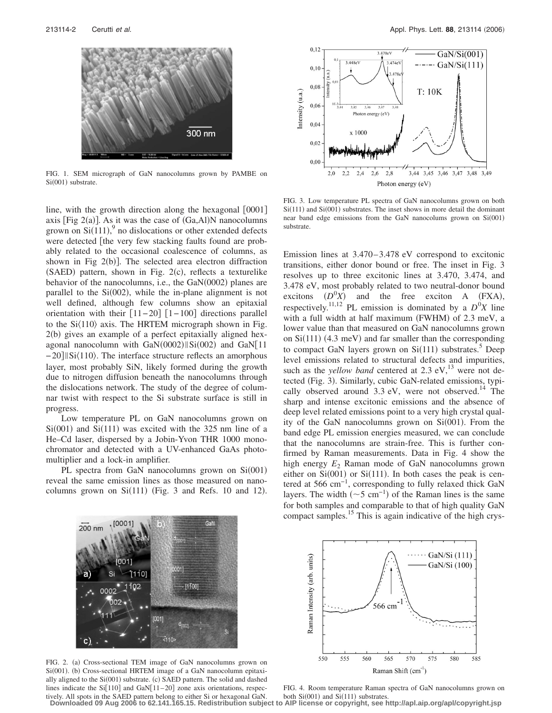

FIG. 1. SEM micrograph of GaN nanocolumns grown by PAMBE on Si(001) substrate.

line, with the growth direction along the hexagonal  $[0001]$ axis [Fig  $2(a)$ ]. As it was the case of  $(Ga, A)$ ]N nanocolumns grown on  $Si(111)$ ,<sup>9</sup> no dislocations or other extended defects were detected [the very few stacking faults found are probably related to the occasional coalescence of columns, as shown in Fig 2(b)]. The selected area electron diffraction (SAED) pattern, shown in Fig. 2(c), reflects a texturelike behavior of the nanocolumns, i.e., the GaN(0002) planes are parallel to the  $Si(002)$ , while the in-plane alignment is not well defined, although few columns show an epitaxial orientation with their  $\lceil 11-20 \rceil$   $\lceil 1-100 \rceil$  directions parallel to the  $Si(110)$  axis. The HRTEM micrograph shown in Fig. 2(b) gives an example of a perfect epitaxially aligned hexagonal nanocolumn with  $\text{GaN}(0002) \|\text{Si}(002)$  and  $\text{GaN}[11]$ −20] Si(110). The interface structure reflects an amorphous layer, most probably SiN, likely formed during the growth due to nitrogen diffusion beneath the nanocolumns through the dislocations network. The study of the degree of columnar twist with respect to the Si substrate surface is still in progress.

Low temperature PL on GaN nanocolumns grown on  $Si(001)$  and  $Si(111)$  was excited with the 325 nm line of a He–Cd laser, dispersed by a Jobin-Yvon THR 1000 monochromator and detected with a UV-enhanced GaAs photomultiplier and a lock-in amplifier.

PL spectra from GaN nanocolumns grown on Si(001) reveal the same emission lines as those measured on nanocolumns grown on  $Si(111)$  (Fig. 3 and Refs. 10 and 12).



FIG. 3. Low temperature PL spectra of GaN nanocolumns grown on both  $Si(111)$  and  $Si(001)$  substrates. The inset shows in more detail the dominant near band edge emissions from the GaN nanocolums grown on Si(001) substrate.

Emission lines at 3.470–3.478 eV correspond to excitonic transitions, either donor bound or free. The inset in Fig. 3 resolves up to three excitonic lines at 3.470, 3.474, and 3.478 eV, most probably related to two neutral-donor bound excitons  $(D^0X)$  and the free exciton A (FXA), respectively.<sup>11,12</sup> PL emission is dominated by a  $D^{0}X$  line with a full width at half maximum (FWHM) of 2.3 meV, a lower value than that measured on GaN nanocolumns grown on Si(111) (4.3 meV) and far smaller than the corresponding to compact GaN layers grown on  $Si(111)$  substrates.<sup>5</sup> Deep level emissions related to structural defects and impurities, such as the *yellow band* centered at 2.3 eV,<sup>13</sup> were not detected (Fig. 3). Similarly, cubic GaN-related emissions, typically observed around  $3.3$  eV, were not observed.<sup>14</sup> The sharp and intense excitonic emissions and the absence of deep level related emissions point to a very high crystal quality of the GaN nanocolumns grown on  $Si(001)$ . From the band edge PL emission energies measured, we can conclude that the nanocolumns are strain-free. This is further confirmed by Raman measurements. Data in Fig. 4 show the high energy  $E_2$  Raman mode of GaN nanocolumns grown either on  $Si(001)$  or  $Si(111)$ . In both cases the peak is centered at 566 cm−1, corresponding to fully relaxed thick GaN layers. The width  $(\sim 5 \text{ cm}^{-1})$  of the Raman lines is the same for both samples and comparable to that of high quality GaN compact samples.<sup>15</sup> This is again indicative of the high crys-



FIG. 2. (a) Cross-sectional TEM image of GaN nanocolumns grown on Si(001). (b) Cross-sectional HRTEM image of a GaN nanocolumn epitaxially aligned to the Si(001) substrate. (c) SAED pattern. The solid and dashed lines indicate the Si[110] and GaN[11–20] zone axis orientations, respectively. All spots in the SAED pattern belong to either Si or hexagonal GaN. both Si(001) and Si(111) substrates.<br>Downloaded 09 Aug 2006 to 62.141.165.15. Redistribution subject to AlP license or copyright, see http://apl.a



FIG. 4. Room temperature Raman spectra of GaN nanocolumns grown on